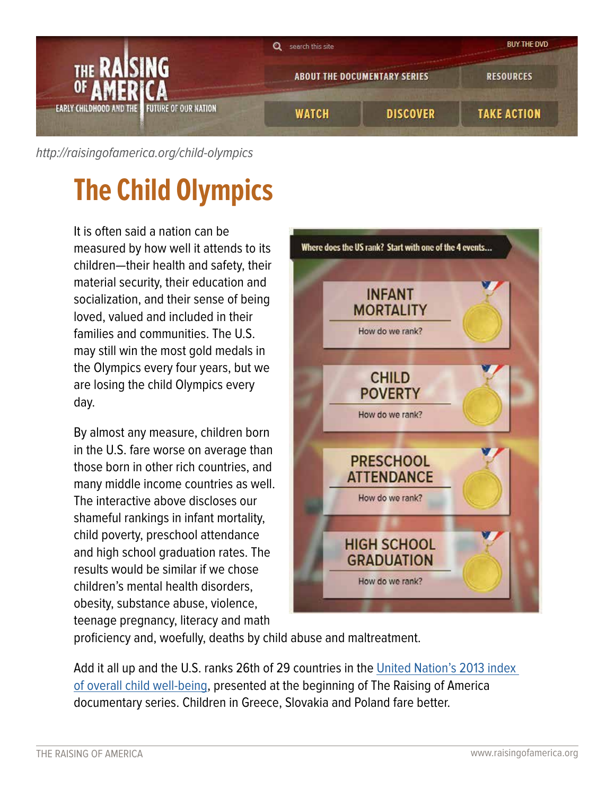

[http://raisingofamerica.org/](http://raisingofamerica.org/child-olympics)child-olympics

## **The Child Olympics**

It is often said a nation can be measured by how well it attends to its children—their health and safety, their material security, their education and socialization, and their sense of being loved, valued and included in their families and communities. The U.S. may still win the most gold medals in the Olympics every four years, but we are losing the child Olympics every day.

By almost any measure, children born in the U.S. fare worse on average than those born in other rich countries, and many middle income countries as well. The interactive above discloses our shameful rankings in infant mortality, child poverty, preschool attendance and high school graduation rates. The results would be similar if we chose children's mental health disorders, obesity, substance abuse, violence, teenage pregnancy, literacy and math



proficiency and, woefully, deaths by child abuse and maltreatment.

Add it all up and the U.S. ranks 26th of 29 countries in the [United Nation's 2013 index](http://www.unicef-irc.org/publications/pdf/iwp_2013_1.pdf)  [of overall child well-being,](http://www.unicef-irc.org/publications/pdf/iwp_2013_1.pdf) presented at the beginning of The Raising of America documentary series. Children in Greece, Slovakia and Poland fare better.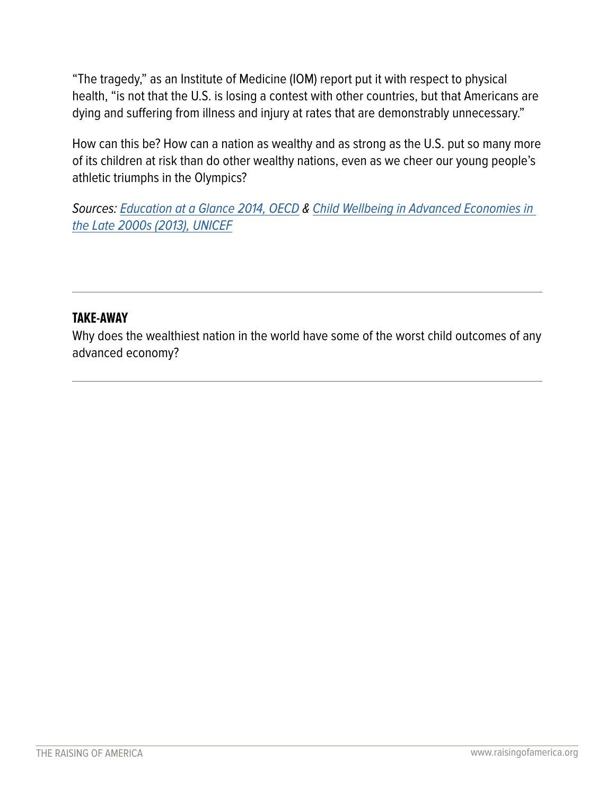"The tragedy," as an Institute of Medicine (IOM) report put it with respect to physical health, "is not that the U.S. is losing a contest with other countries, but that Americans are dying and suffering from illness and injury at rates that are demonstrably unnecessary."

How can this be? How can a nation as wealthy and as strong as the U.S. put so many more of its children at risk than do other wealthy nations, even as we cheer our young people's athletic triumphs in the Olympics?

Sources: [Education at a Glance 2014, OECD](http://www.oecd.org/edu/Education-at-a-Glance-2014.pdf) & Child Wellbeing in Advanced Economies in [the Late 2000s \(2013\), UNICEF](http://www.unicef-irc.org/publications/pdf/iwp_2013_1.pdf)

## **TAKE-AWAY**

Why does the wealthiest nation in the world have some of the worst child outcomes of any advanced economy?